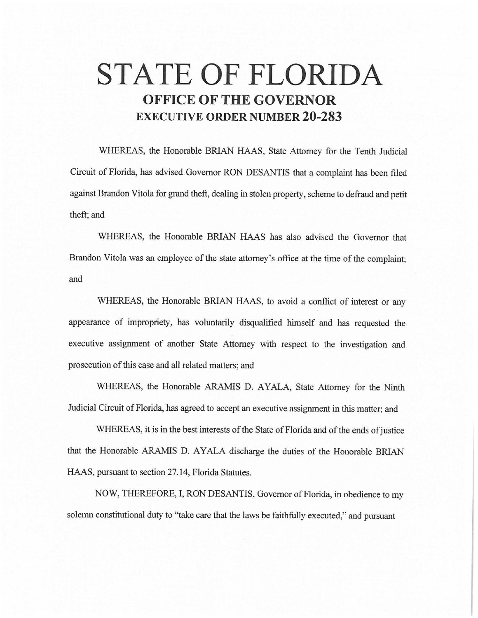# **STATE OF FLORIDA OFFICE OF THE GOVERNOR EXECUTIVE ORDER NUMBER 20-283**

WHEREAS, the Honorable BRIAN HAAS, State Attorney for the Tenth Judicial Circuit of Florida, has advised Governor RON DESANTIS that a complaint has been filed against Brandon Vitola for grand theft, dealing in stolen property, scheme to defraud and petit theft; and

WHEREAS, the Honorable BRIAN HAAS has also advised the Governor that Brandon Vitola was an employee of the state attorney's office at the time of the complaint; and

WHEREAS, the Honorable BRIAN HAAS, to avoid a conflict of interest or any appearance of impropriety, has voluntarily disqualified himself and has requested the executive assignment of another State Attorney with respect to the investigation and prosecution of this case and all related matters; and

WHEREAS, the Honorable ARAMIS D. AYALA, State Attorney for the Ninth Judicial Circuit of Florida, has agreed to accept an executive assignment in this matter; and

WHEREAS, it is in the best interests of the State of Florida and of the ends of justice that the Honorable ARAMIS D. AYALA discharge the duties of the Honorable BRIAN HAAS, pursuant to section 27.14, Florida Statutes.

NOW, THEREFORE, I, RON DESANTIS, Governor of Florida, in obedience to my solemn constitutional duty to "take care that the laws be faithfully executed," and pursuant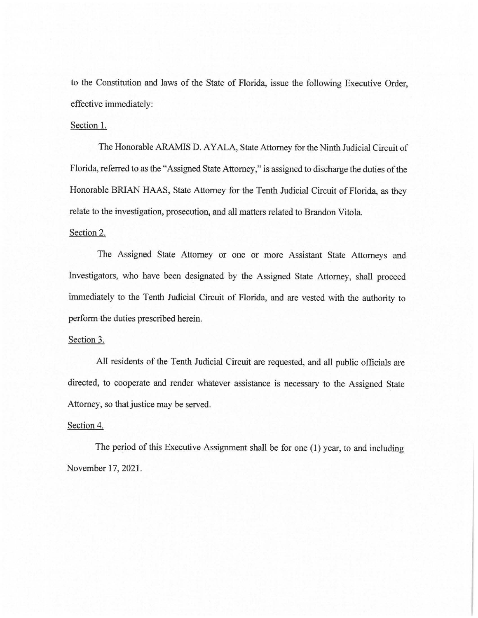to the Constitution and laws of the State of Florida, issue the following Executive Order, effective immediately:

## Section 1.

The Honorable ARAMIS D. AYALA, State Attorney for the Ninth Judicial Circuit of Florida, referred to as the "Assigned State Attorney," is assigned to discharge the duties of the Honorable BRJAN HAAS, State Attorney for the Tenth Judicial Circuit of Florida, as they relate to the investigation, prosecution, and all matters related to Brandon Vitola.

#### Section 2.

The Assigned State Attorney or one or more Assistant State Attorneys and Investigators, who have been designated by the Assigned State Attorney, shall proceed immediately to the Tenth Judicial Circuit of Florida, and are vested with the authority to perform the duties prescribed herein.

## Section 3.

All residents of the Tenth Judicial Circuit are requested, and all public officials are directed, to cooperate and render whatever assistance is necessary to the Assigned State Attorney, so that justice may be served.

### Section 4.

The period of this Executive Assignment shall be for one (1) year, to and including November 17, 2021.